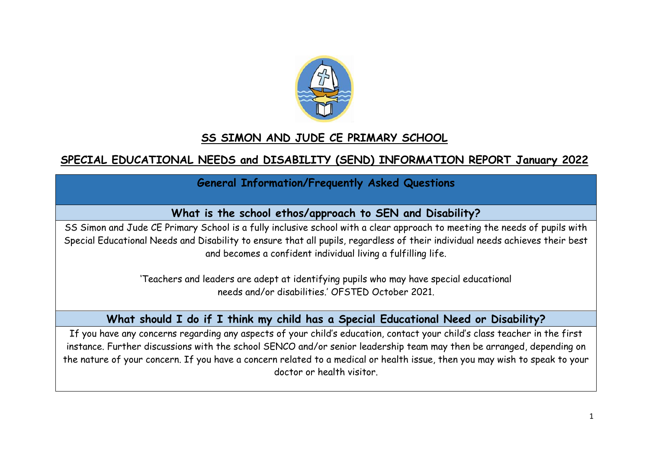

## **SS SIMON AND JUDE CE PRIMARY SCHOOL**

# **SPECIAL EDUCATIONAL NEEDS and DISABILITY (SEND) INFORMATION REPORT January 2022**

## **General Information/Frequently Asked Questions**

## **What is the school ethos/approach to SEN and Disability?**

SS Simon and Jude CE Primary School is a fully inclusive school with a clear approach to meeting the needs of pupils with Special Educational Needs and Disability to ensure that all pupils, regardless of their individual needs achieves their best and becomes a confident individual living a fulfilling life.

> 'Teachers and leaders are adept at identifying pupils who may have special educational needs and/or disabilities.' OFSTED October 2021.

## **What should I do if I think my child has a Special Educational Need or Disability?**

If you have any concerns regarding any aspects of your child's education, contact your child's class teacher in the first instance. Further discussions with the school SENCO and/or senior leadership team may then be arranged, depending on the nature of your concern. If you have a concern related to a medical or health issue, then you may wish to speak to your doctor or health visitor.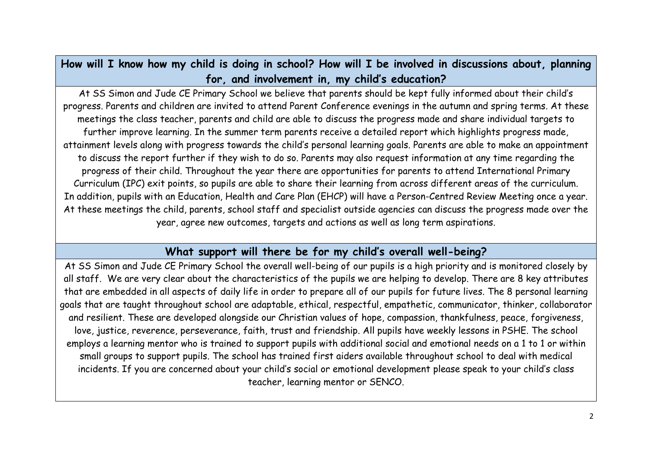**How will I know how my child is doing in school? How will I be involved in discussions about, planning for, and involvement in, my child's education?**

At SS Simon and Jude CE Primary School we believe that parents should be kept fully informed about their child's progress. Parents and children are invited to attend Parent Conference evenings in the autumn and spring terms. At these meetings the class teacher, parents and child are able to discuss the progress made and share individual targets to further improve learning. In the summer term parents receive a detailed report which highlights progress made, attainment levels along with progress towards the child's personal learning goals. Parents are able to make an appointment to discuss the report further if they wish to do so. Parents may also request information at any time regarding the progress of their child. Throughout the year there are opportunities for parents to attend International Primary Curriculum (IPC) exit points, so pupils are able to share their learning from across different areas of the curriculum. In addition, pupils with an Education, Health and Care Plan (EHCP) will have a Person-Centred Review Meeting once a year. At these meetings the child, parents, school staff and specialist outside agencies can discuss the progress made over the year, agree new outcomes, targets and actions as well as long term aspirations.

#### **What support will there be for my child's overall well-being?**

At SS Simon and Jude CE Primary School the overall well-being of our pupils is a high priority and is monitored closely by all staff. We are very clear about the characteristics of the pupils we are helping to develop. There are 8 key attributes that are embedded in all aspects of daily life in order to prepare all of our pupils for future lives. The 8 personal learning goals that are taught throughout school are adaptable, ethical, respectful, empathetic, communicator, thinker, collaborator and resilient. These are developed alongside our Christian values of hope, compassion, thankfulness, peace, forgiveness, love, justice, reverence, perseverance, faith, trust and friendship. All pupils have weekly lessons in PSHE. The school employs a learning mentor who is trained to support pupils with additional social and emotional needs on a 1 to 1 or within small groups to support pupils. The school has trained first aiders available throughout school to deal with medical incidents. If you are concerned about your child's social or emotional development please speak to your child's class teacher, learning mentor or SENCO.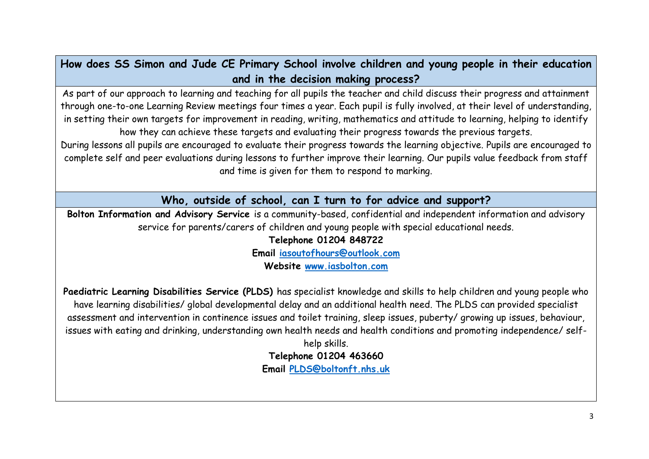**How does SS Simon and Jude CE Primary School involve children and young people in their education and in the decision making process?**

As part of our approach to learning and teaching for all pupils the teacher and child discuss their progress and attainment through one-to-one Learning Review meetings four times a year. Each pupil is fully involved, at their level of understanding, in setting their own targets for improvement in reading, writing, mathematics and attitude to learning, helping to identify how they can achieve these targets and evaluating their progress towards the previous targets.

During lessons all pupils are encouraged to evaluate their progress towards the learning objective. Pupils are encouraged to complete self and peer evaluations during lessons to further improve their learning. Our pupils value feedback from staff and time is given for them to respond to marking.

**Who, outside of school, can I turn to for advice and support?**

**Bolton Information and Advisory Service** is a community-based, confidential and independent information and advisory service for parents/carers of children and young people with special educational needs.

**Telephone 01204 848722**

**Email [iasoutofhours@outlook.com](mailto:iasoutofhours@outlook.com)**

**Website [www.iasbolton.com](http://www.iasbolton.com/)**

**Paediatric Learning Disabilities Service (PLDS)** has specialist knowledge and skills to help children and young people who have learning disabilities/ global developmental delay and an additional health need. The PLDS can provided specialist assessment and intervention in continence issues and toilet training, sleep issues, puberty/ growing up issues, behaviour, issues with eating and drinking, understanding own health needs and health conditions and promoting independence/ self-

> help skills. **Telephone 01204 463660 Email [PLDS@boltonft.nhs.uk](mailto:PLDS@boltonft.nhs.uk)**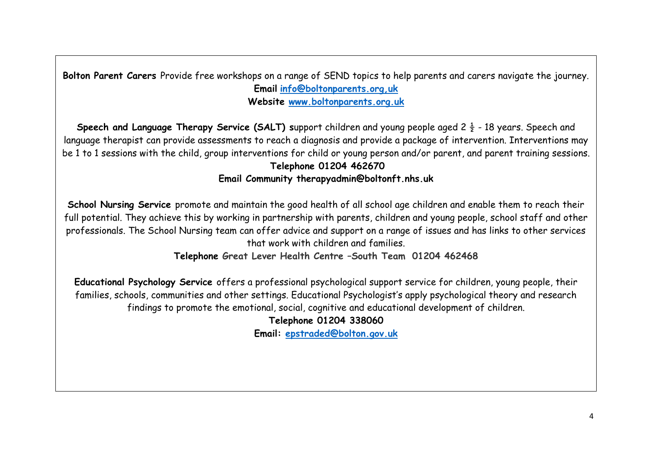**Bolton Parent Carers** Provide free workshops on a range of SEND topics to help parents and carers navigate the journey. **Email [info@boltonparents.org,uk](mailto:info@boltonparents.org,uk) Website [www.boltonparents.org.uk](http://www.boltonparents.org.uk/)** 

**Speech and Language Therapy Service (SALT) support children and young people aged 2**  $\frac{1}{2}$  **- 18 years. Speech and** language therapist can provide assessments to reach a diagnosis and provide a package of intervention. Interventions may be 1 to 1 sessions with the child, group interventions for child or young person and/or parent, and parent training sessions. **Telephone 01204 462670**

#### **Email Community therapyadmin@boltonft.nhs.uk**

**School Nursing Service** promote and maintain the good health of all school age children and enable them to reach their full potential. They achieve this by working in partnership with parents, children and young people, school staff and other professionals. The School Nursing team can offer advice and support on a range of issues and has links to other services that work with children and families.

**Telephone Great Lever Health Centre –South Team 01204 462468**

**Educational Psychology Service** offers a professional psychological support service for children, young people, their families, schools, communities and other settings. Educational Psychologist's apply psychological theory and research findings to promote the emotional, social, cognitive and educational development of children.

**Telephone 01204 338060**

**Email: [epstraded@bolton.gov.uk](mailto:epstraded@bolton.gov.uk)**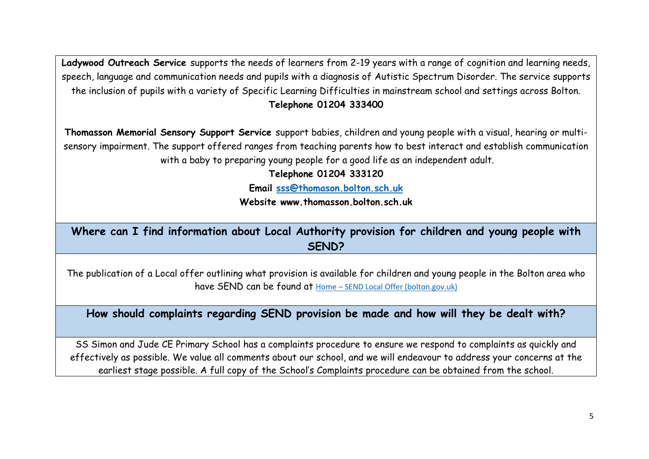**Ladywood Outreach Service** supports the needs of learners from 2-19 years with a range of cognition and learning needs, speech, language and communication needs and pupils with a diagnosis of Autistic Spectrum Disorder. The service supports the inclusion of pupils with a variety of Specific Learning Difficulties in mainstream school and settings across Bolton. **Telephone 01204 333400**

**Thomasson Memorial Sensory Support Service** support babies, children and young people with a visual, hearing or multisensory impairment. The support offered ranges from teaching parents how to best interact and establish communication with a baby to preparing young people for a good life as an independent adult.

**Telephone 01204 333120**

**Email [sss@thomason.bolton.sch.uk](mailto:sss@thomason.bolton.sch.uk)**

**Website www.thomasson.bolton.sch.uk**

**Where can I find information about Local Authority provision for children and young people with SEND?**

The publication of a Local offer outlining what provision is available for children and young people in the Bolton area who have SEND can be found at Home – [SEND Local Offer \(bolton.gov.uk\)](https://www.bolton.gov.uk/sendlocaloffer/)

**How should complaints regarding SEND provision be made and how will they be dealt with?**

SS Simon and Jude CE Primary School has a complaints procedure to ensure we respond to complaints as quickly and effectively as possible. We value all comments about our school, and we will endeavour to address your concerns at the earliest stage possible. A full copy of the School's Complaints procedure can be obtained from the school.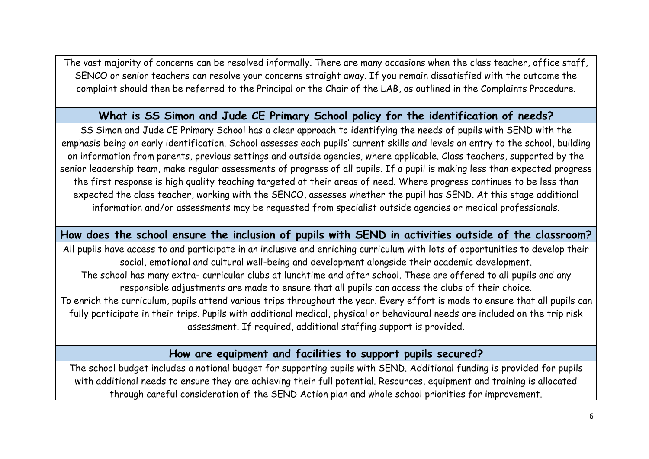The vast majority of concerns can be resolved informally. There are many occasions when the class teacher, office staff, SENCO or senior teachers can resolve your concerns straight away. If you remain dissatisfied with the outcome the complaint should then be referred to the Principal or the Chair of the LAB, as outlined in the Complaints Procedure.

#### **What is SS Simon and Jude CE Primary School policy for the identification of needs?**

SS Simon and Jude CE Primary School has a clear approach to identifying the needs of pupils with SEND with the emphasis being on early identification. School assesses each pupils' current skills and levels on entry to the school, building on information from parents, previous settings and outside agencies, where applicable. Class teachers, supported by the senior leadership team, make regular assessments of progress of all pupils. If a pupil is making less than expected progress the first response is high quality teaching targeted at their areas of need. Where progress continues to be less than expected the class teacher, working with the SENCO, assesses whether the pupil has SEND. At this stage additional information and/or assessments may be requested from specialist outside agencies or medical professionals.

#### **How does the school ensure the inclusion of pupils with SEND in activities outside of the classroom?**

All pupils have access to and participate in an inclusive and enriching curriculum with lots of opportunities to develop their social, emotional and cultural well-being and development alongside their academic development. The school has many extra- curricular clubs at lunchtime and after school. These are offered to all pupils and any responsible adjustments are made to ensure that all pupils can access the clubs of their choice. To enrich the curriculum, pupils attend various trips throughout the year. Every effort is made to ensure that all pupils can fully participate in their trips. Pupils with additional medical, physical or behavioural needs are included on the trip risk assessment. If required, additional staffing support is provided.

## **How are equipment and facilities to support pupils secured?**

The school budget includes a notional budget for supporting pupils with SEND. Additional funding is provided for pupils with additional needs to ensure they are achieving their full potential. Resources, equipment and training is allocated through careful consideration of the SEND Action plan and whole school priorities for improvement.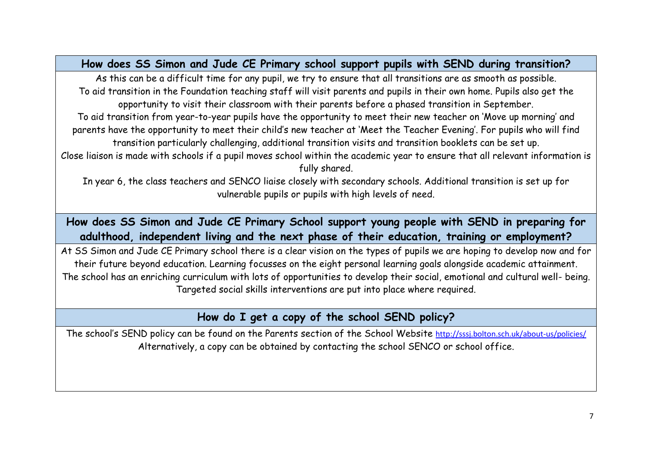**How does SS Simon and Jude CE Primary school support pupils with SEND during transition?**

As this can be a difficult time for any pupil, we try to ensure that all transitions are as smooth as possible. To aid transition in the Foundation teaching staff will visit parents and pupils in their own home. Pupils also get the opportunity to visit their classroom with their parents before a phased transition in September.

To aid transition from year-to-year pupils have the opportunity to meet their new teacher on 'Move up morning' and parents have the opportunity to meet their child's new teacher at 'Meet the Teacher Evening'. For pupils who will find transition particularly challenging, additional transition visits and transition booklets can be set up.

Close liaison is made with schools if a pupil moves school within the academic year to ensure that all relevant information is fully shared.

In year 6, the class teachers and SENCO liaise closely with secondary schools. Additional transition is set up for vulnerable pupils or pupils with high levels of need.

**How does SS Simon and Jude CE Primary School support young people with SEND in preparing for adulthood, independent living and the next phase of their education, training or employment?**

At SS Simon and Jude CE Primary school there is a clear vision on the types of pupils we are hoping to develop now and for their future beyond education. Learning focusses on the eight personal learning goals alongside academic attainment. The school has an enriching curriculum with lots of opportunities to develop their social, emotional and cultural well- being. Targeted social skills interventions are put into place where required.

**How do I get a copy of the school SEND policy?**

The school's SEND policy can be found on the Parents section of the School Website <http://sssj.bolton.sch.uk/about-us/policies/> Alternatively, a copy can be obtained by contacting the school SENCO or school office.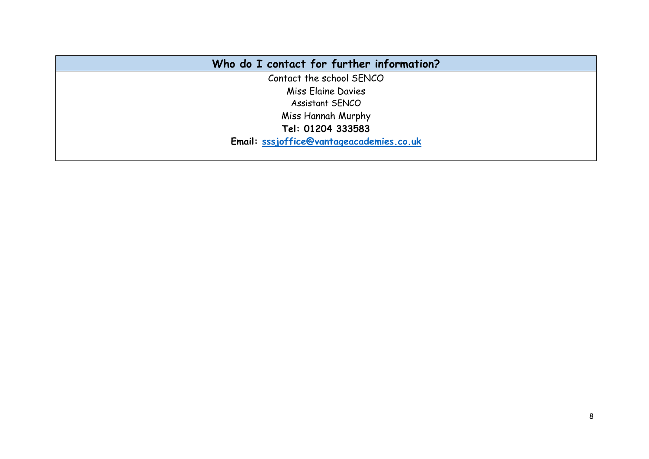| Who do I contact for further information? |
|-------------------------------------------|
| Contact the school SENCO                  |
| Miss Elaine Davies                        |
| <b>Assistant SENCO</b>                    |
| Miss Hannah Murphy                        |
| Tel: 01204 333583                         |
| Email: sssjoffice@vantageacademies.co.uk  |
|                                           |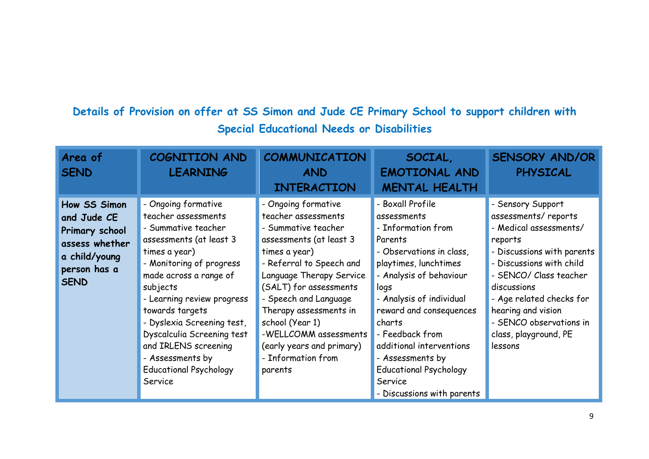# **Details of Provision on offer at SS Simon and Jude CE Primary School to support children with Special Educational Needs or Disabilities**

| Area of<br><b>SEND</b>                                                                                          | COGNITION AND<br><b>LEARNING</b>                                                                                                                                                                                                                                                                                                                                                     | COMMUNICATION<br><b>AND</b><br><b>INTERACTION</b>                                                                                                                                                                                                                                                                                                            | SOCIAL,<br><b>EMOTIONAL AND</b><br><b>MENTAL HEALTH</b>                                                                                                                                                                                                                                                                                                                | <b>SENSORY AND/OR</b><br><b>PHYSICAL</b>                                                                                                                                                                                                                                                          |
|-----------------------------------------------------------------------------------------------------------------|--------------------------------------------------------------------------------------------------------------------------------------------------------------------------------------------------------------------------------------------------------------------------------------------------------------------------------------------------------------------------------------|--------------------------------------------------------------------------------------------------------------------------------------------------------------------------------------------------------------------------------------------------------------------------------------------------------------------------------------------------------------|------------------------------------------------------------------------------------------------------------------------------------------------------------------------------------------------------------------------------------------------------------------------------------------------------------------------------------------------------------------------|---------------------------------------------------------------------------------------------------------------------------------------------------------------------------------------------------------------------------------------------------------------------------------------------------|
| How SS Simon<br>and Jude CE<br>Primary school<br>assess whether<br>a child/young<br>person has a<br><b>SEND</b> | - Ongoing formative<br>teacher assessments<br>- Summative teacher<br>assessments (at least 3<br>times a year)<br>- Monitoring of progress<br>made across a range of<br>subjects<br>- Learning review progress<br>towards targets<br>- Dyslexia Screening test,<br>Dyscalculia Screening test<br>and IRLENS screening<br>- Assessments by<br><b>Educational Psychology</b><br>Service | - Ongoing formative<br>teacher assessments<br>- Summative teacher<br>assessments (at least 3<br>times a year)<br>- Referral to Speech and<br>Language Therapy Service<br>(SALT) for assessments<br>- Speech and Language<br>Therapy assessments in<br>school (Year 1)<br>-WELLCOMM assessments<br>(early years and primary)<br>- Information from<br>parents | - Boxall Profile<br>assessments<br>- Information from<br>Parents<br>- Observations in class,<br>playtimes, lunchtimes<br>- Analysis of behaviour<br>logs<br>- Analysis of individual<br>reward and consequences<br>charts<br>- Feedback from<br>additional interventions<br>- Assessments by<br><b>Educational Psychology</b><br>Service<br>- Discussions with parents | - Sensory Support<br>assessments/reports<br>- Medical assessments/<br>reports<br>- Discussions with parents<br>- Discussions with child<br>- SENCO/ Class teacher<br>discussions<br>- Age related checks for<br>hearing and vision<br>- SENCO observations in<br>class, playground, PE<br>lessons |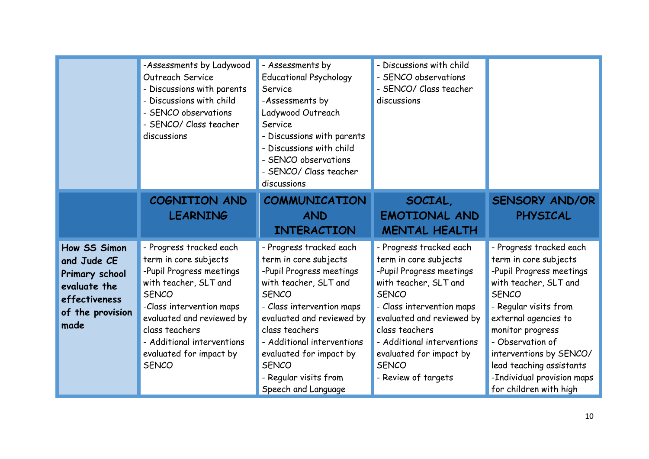|                                                                                                            | -Assessments by Ladywood<br>Outreach Service<br>- Discussions with parents<br>- Discussions with child<br>SENCO observations<br>- SENCO/ Class teacher<br>discussions                                                                                                     | - Assessments by<br><b>Educational Psychology</b><br>Service<br>-Assessments by<br>Ladywood Outreach<br>Service<br>- Discussions with parents<br>- Discussions with child<br>- SENCO observations<br>- SENCO/ Class teacher<br>discussions                                                                                 | - Discussions with child<br>- SENCO observations<br>- SENCO/ Class teacher<br>discussions                                                                                                                                                                                                         |                                                                                                                                                                                                                                                                                                                               |
|------------------------------------------------------------------------------------------------------------|---------------------------------------------------------------------------------------------------------------------------------------------------------------------------------------------------------------------------------------------------------------------------|----------------------------------------------------------------------------------------------------------------------------------------------------------------------------------------------------------------------------------------------------------------------------------------------------------------------------|---------------------------------------------------------------------------------------------------------------------------------------------------------------------------------------------------------------------------------------------------------------------------------------------------|-------------------------------------------------------------------------------------------------------------------------------------------------------------------------------------------------------------------------------------------------------------------------------------------------------------------------------|
|                                                                                                            | COGNITION AND<br><b>LEARNING</b>                                                                                                                                                                                                                                          | <b>COMMUNICATION</b><br><b>AND</b><br><b>INTERACTION</b>                                                                                                                                                                                                                                                                   | SOCIAL,<br><b>EMOTIONAL AND</b><br><b>MENTAL HEALTH</b>                                                                                                                                                                                                                                           | <b>SENSORY AND/OR</b><br><b>PHYSICAL</b>                                                                                                                                                                                                                                                                                      |
| How SS Simon<br>and Jude CE<br>Primary school<br>evaluate the<br>effectiveness<br>of the provision<br>made | - Progress tracked each<br>term in core subjects<br>-Pupil Progress meetings<br>with teacher, SLT and<br><b>SENCO</b><br>-Class intervention maps<br>evaluated and reviewed by<br>class teachers<br>- Additional interventions<br>evaluated for impact by<br><b>SENCO</b> | - Progress tracked each<br>term in core subjects<br>-Pupil Progress meetings<br>with teacher, SLT and<br><b>SENCO</b><br>- Class intervention maps<br>evaluated and reviewed by<br>class teachers<br>- Additional interventions<br>evaluated for impact by<br><b>SENCO</b><br>- Regular visits from<br>Speech and Language | - Progress tracked each<br>term in core subjects<br>-Pupil Progress meetings<br>with teacher, SLT and<br><b>SENCO</b><br>- Class intervention maps<br>evaluated and reviewed by<br>class teachers<br>- Additional interventions<br>evaluated for impact by<br><b>SENCO</b><br>- Review of targets | - Progress tracked each<br>term in core subjects<br>-Pupil Progress meetings<br>with teacher, SLT and<br><b>SENCO</b><br>- Regular visits from<br>external agencies to<br>monitor progress<br>- Observation of<br>interventions by SENCO/<br>lead teaching assistants<br>-Individual provision maps<br>for children with high |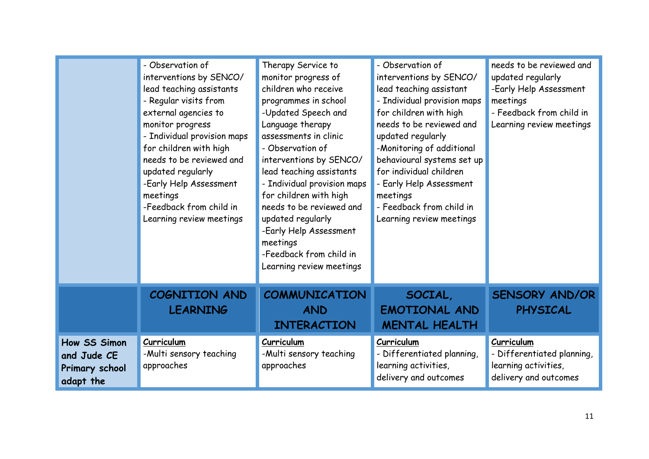|                                                            | - Observation of<br>interventions by SENCO/<br>lead teaching assistants<br>- Regular visits from<br>external agencies to<br>monitor progress<br>- Individual provision maps<br>for children with high<br>needs to be reviewed and<br>updated regularly<br>-Early Help Assessment<br>meetings<br>-Feedback from child in<br>Learning review meetings | Therapy Service to<br>monitor progress of<br>children who receive<br>programmes in school<br>-Updated Speech and<br>Language therapy<br>assessments in clinic<br>- Observation of<br>interventions by SENCO/<br>lead teaching assistants<br>- Individual provision maps<br>for children with high<br>needs to be reviewed and<br>updated regularly<br>-Early Help Assessment<br>meetings<br>-Feedback from child in<br>Learning review meetings | - Observation of<br>interventions by SENCO/<br>lead teaching assistant<br>- Individual provision maps<br>for children with high<br>needs to be reviewed and<br>updated regularly<br>-Monitoring of additional<br>behavioural systems set up<br>for individual children<br>- Early Help Assessment<br>meetings<br>- Feedback from child in<br>Learning review meetings | needs to be reviewed and<br>updated regularly<br>-Early Help Assessment<br>meetings<br>- Feedback from child in<br>Learning review meetings |
|------------------------------------------------------------|-----------------------------------------------------------------------------------------------------------------------------------------------------------------------------------------------------------------------------------------------------------------------------------------------------------------------------------------------------|-------------------------------------------------------------------------------------------------------------------------------------------------------------------------------------------------------------------------------------------------------------------------------------------------------------------------------------------------------------------------------------------------------------------------------------------------|-----------------------------------------------------------------------------------------------------------------------------------------------------------------------------------------------------------------------------------------------------------------------------------------------------------------------------------------------------------------------|---------------------------------------------------------------------------------------------------------------------------------------------|
|                                                            | <b>COGNITION AND</b><br><b>LEARNING</b>                                                                                                                                                                                                                                                                                                             | <b>COMMUNICATION</b><br><b>AND</b><br><b>INTERACTION</b>                                                                                                                                                                                                                                                                                                                                                                                        | SOCIAL,<br><b>EMOTIONAL AND</b><br><b>MENTAL HEALTH</b>                                                                                                                                                                                                                                                                                                               | <b>SENSORY AND/OR</b><br><b>PHYSICAL</b>                                                                                                    |
| How SS Simon<br>and Jude CE<br>Primary school<br>adapt the | Curriculum<br>-Multi sensory teaching<br>approaches                                                                                                                                                                                                                                                                                                 | Curriculum<br>-Multi sensory teaching<br>approaches                                                                                                                                                                                                                                                                                                                                                                                             | Curriculum<br>- Differentiated planning,<br>learning activities,<br>delivery and outcomes                                                                                                                                                                                                                                                                             | Curriculum<br>- Differentiated planning,<br>learning activities,<br>delivery and outcomes                                                   |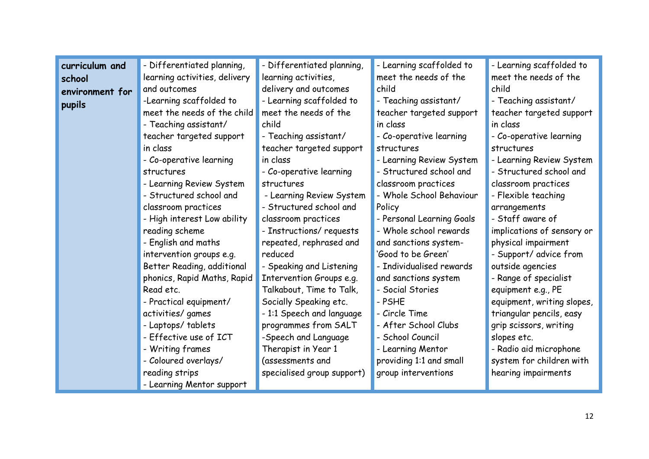| curriculum and  | - Differentiated planning,    | - Differentiated planning, | - Learning scaffolded to  | - Learning scaffolded to   |
|-----------------|-------------------------------|----------------------------|---------------------------|----------------------------|
| school          | learning activities, delivery | learning activities,       | meet the needs of the     | meet the needs of the      |
| environment for | and outcomes                  | delivery and outcomes      | child                     | child                      |
| pupils          | -Learning scaffolded to       | - Learning scaffolded to   | - Teaching assistant/     | - Teaching assistant/      |
|                 | meet the needs of the child   | meet the needs of the      | teacher targeted support  | teacher targeted support   |
|                 | - Teaching assistant/         | child                      | in class                  | in class                   |
|                 | teacher targeted support      | - Teaching assistant/      | - Co-operative learning   | - Co-operative learning    |
|                 | in class                      | teacher targeted support   | structures                | structures                 |
|                 | - Co-operative learning       | in class                   | - Learning Review System  | - Learning Review System   |
|                 | structures                    | - Co-operative learning    | - Structured school and   | - Structured school and    |
|                 | - Learning Review System      | structures                 | classroom practices       | classroom practices        |
|                 | - Structured school and       | - Learning Review System   | - Whole School Behaviour  | - Flexible teaching        |
|                 | classroom practices           | - Structured school and    | Policy                    | arrangements               |
|                 | - High interest Low ability   | classroom practices        | - Personal Learning Goals | - Staff aware of           |
|                 | reading scheme                | - Instructions/ requests   | - Whole school rewards    | implications of sensory or |
|                 | English and maths             | repeated, rephrased and    | and sanctions system-     | physical impairment        |
|                 | intervention groups e.g.      | reduced                    | 'Good to be Green'        | - Support/ advice from     |
|                 | Better Reading, additional    | - Speaking and Listening   | - Individualised rewards  | outside agencies           |
|                 | phonics, Rapid Maths, Rapid   | Intervention Groups e.g.   | and sanctions system      | - Range of specialist      |
|                 | Read etc.                     | Talkabout, Time to Talk,   | - Social Stories          | equipment e.g., PE         |
|                 | - Practical equipment/        | Socially Speaking etc.     | - PSHE                    | equipment, writing slopes, |
|                 | activities/ games             | - 1:1 Speech and language  | - Circle Time             | triangular pencils, easy   |
|                 | - Laptops/tablets             | programmes from SALT       | - After School Clubs      | grip scissors, writing     |
|                 | Effective use of ICT          | -Speech and Language       | - School Council          | slopes etc.                |
|                 | - Writing frames              | Therapist in Year 1        | - Learning Mentor         | - Radio aid microphone     |
|                 | - Coloured overlays/          | (assessments and           | providing 1:1 and small   | system for children with   |
|                 | reading strips                | specialised group support) | group interventions       | hearing impairments        |
|                 | - Learning Mentor support     |                            |                           |                            |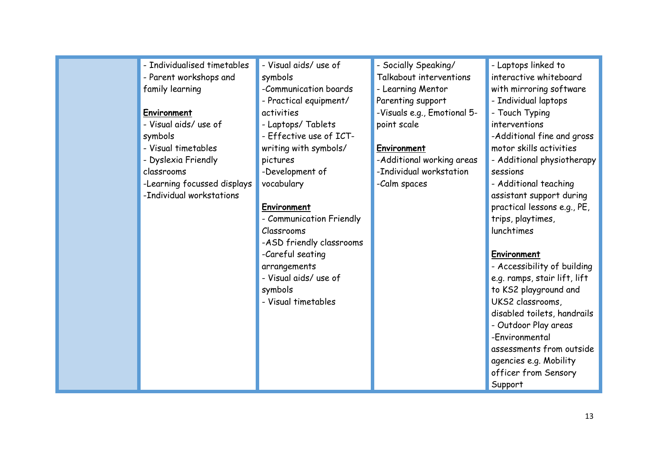| - Individualised timetables | - Visual aids/ use of    | - Socially Speaking/        | - Laptops linked to          |
|-----------------------------|--------------------------|-----------------------------|------------------------------|
| - Parent workshops and      | symbols                  | Talkabout interventions     | interactive whiteboard       |
| family learning             | -Communication boards    | - Learning Mentor           | with mirroring software      |
|                             | - Practical equipment/   | Parenting support           | - Individual laptops         |
| Environment                 | activities               | -Visuals e.g., Emotional 5- | - Touch Typing               |
| - Visual aids/use of        | - Laptops/ Tablets       | point scale                 | interventions                |
| symbols                     | - Effective use of ICT-  |                             | -Additional fine and gross   |
| - Visual timetables         | writing with symbols/    | Environment                 | motor skills activities      |
| - Dyslexia Friendly         | pictures                 | -Additional working areas   | - Additional physiotherapy   |
| classrooms                  | -Development of          | -Individual workstation     | sessions                     |
| -Learning focussed displays | vocabulary               | -Calm spaces                | - Additional teaching        |
| -Individual workstations    |                          |                             | assistant support during     |
|                             | Environment              |                             | practical lessons e.g., PE,  |
|                             | - Communication Friendly |                             | trips, playtimes,            |
|                             | Classrooms               |                             | lunchtimes                   |
|                             | -ASD friendly classrooms |                             |                              |
|                             | -Careful seating         |                             | Environment                  |
|                             | arrangements             |                             | - Accessibility of building  |
|                             | - Visual aids/ use of    |                             | e.g. ramps, stair lift, lift |
|                             | symbols                  |                             | to KS2 playground and        |
|                             | - Visual timetables      |                             | UKS2 classrooms,             |
|                             |                          |                             | disabled toilets, handrails  |
|                             |                          |                             | - Outdoor Play areas         |
|                             |                          |                             | -Environmental               |
|                             |                          |                             | assessments from outside     |
|                             |                          |                             | agencies e.g. Mobility       |
|                             |                          |                             | officer from Sensory         |
|                             |                          |                             | Support                      |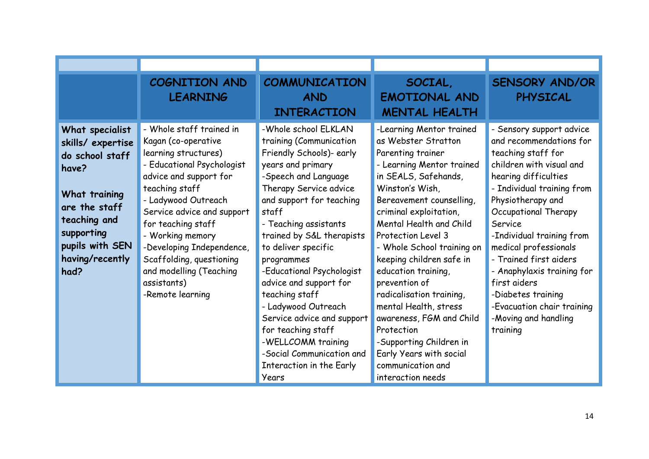|                                                                                                                                                                               | COGNITION AND<br><b>LEARNING</b>                                                                                                                                                                                                                                                                                                                                        | <b>COMMUNICATION</b><br><b>AND</b><br><b>INTERACTION</b>                                                                                                                                                                                                                                                                                                                                                                                                                                                                       | SOCIAL,<br><b>EMOTIONAL AND</b><br><b>MENTAL HEALTH</b>                                                                                                                                                                                                                                                                                                                                                                                                                                                                                              | <b>SENSORY AND/OR</b><br>PHYSICAL                                                                                                                                                                                                                                                                                                                                                                                                         |
|-------------------------------------------------------------------------------------------------------------------------------------------------------------------------------|-------------------------------------------------------------------------------------------------------------------------------------------------------------------------------------------------------------------------------------------------------------------------------------------------------------------------------------------------------------------------|--------------------------------------------------------------------------------------------------------------------------------------------------------------------------------------------------------------------------------------------------------------------------------------------------------------------------------------------------------------------------------------------------------------------------------------------------------------------------------------------------------------------------------|------------------------------------------------------------------------------------------------------------------------------------------------------------------------------------------------------------------------------------------------------------------------------------------------------------------------------------------------------------------------------------------------------------------------------------------------------------------------------------------------------------------------------------------------------|-------------------------------------------------------------------------------------------------------------------------------------------------------------------------------------------------------------------------------------------------------------------------------------------------------------------------------------------------------------------------------------------------------------------------------------------|
| What specialist<br>skills/expertise<br>do school staff<br>have?<br>What training<br>are the staff<br>teaching and<br>supporting<br>pupils with SEN<br>having/recently<br>had? | - Whole staff trained in<br>Kagan (co-operative<br>learning structures)<br>- Educational Psychologist<br>advice and support for<br>teaching staff<br>- Ladywood Outreach<br>Service advice and support<br>for teaching staff<br>- Working memory<br>-Developing Independence,<br>Scaffolding, questioning<br>and modelling (Teaching<br>assistants)<br>-Remote learning | -Whole school ELKLAN<br>training (Communication<br>Friendly Schools)- early<br>years and primary<br>-Speech and Language<br>Therapy Service advice<br>and support for teaching<br>staff<br>- Teaching assistants<br>trained by S&L therapists<br>to deliver specific<br>programmes<br>-Educational Psychologist<br>advice and support for<br>teaching staff<br>- Ladywood Outreach<br>Service advice and support<br>for teaching staff<br>-WELLCOMM training<br>-Social Communication and<br>Interaction in the Early<br>Years | -Learning Mentor trained<br>as Webster Stratton<br>Parenting trainer<br>- Learning Mentor trained<br>in SEALS, Safehands,<br>Winston's Wish,<br>Bereavement counselling,<br>criminal exploitation,<br>Mental Health and Child<br>Protection Level 3<br>- Whole School training on<br>keeping children safe in<br>education training,<br>prevention of<br>radicalisation training,<br>mental Health, stress<br>awareness, FGM and Child<br>Protection<br>-Supporting Children in<br>Early Years with social<br>communication and<br>interaction needs | - Sensory support advice<br>and recommendations for<br>teaching staff for<br>children with visual and<br>hearing difficulties<br>- Individual training from<br>Physiotherapy and<br>Occupational Therapy<br>Service<br>-Individual training from<br>medical professionals<br>- Trained first aiders<br>- Anaphylaxis training for<br>first aiders<br>-Diabetes training<br>-Evacuation chair training<br>-Moving and handling<br>training |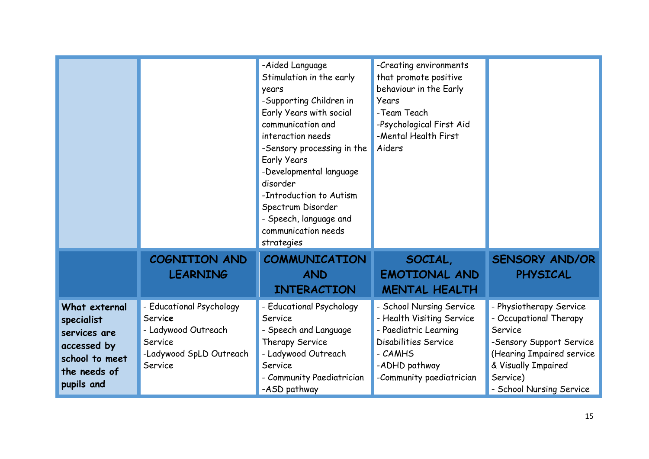|                                                                                                            |                                                                                                             | -Aided Language<br>Stimulation in the early<br>years<br>-Supporting Children in<br>Early Years with social<br>communication and<br>interaction needs<br>-Sensory processing in the<br><b>Early Years</b><br>-Developmental language<br>disorder<br>-Introduction to Autism<br>Spectrum Disorder<br>- Speech, language and<br>communication needs<br>strategies | -Creating environments<br>that promote positive<br>behaviour in the Early<br>Years<br>-Team Teach<br>-Psychological First Aid<br>-Mental Health First<br>Aiders |                                                                                                                                                                                      |
|------------------------------------------------------------------------------------------------------------|-------------------------------------------------------------------------------------------------------------|----------------------------------------------------------------------------------------------------------------------------------------------------------------------------------------------------------------------------------------------------------------------------------------------------------------------------------------------------------------|-----------------------------------------------------------------------------------------------------------------------------------------------------------------|--------------------------------------------------------------------------------------------------------------------------------------------------------------------------------------|
|                                                                                                            | COGNITION AND<br><b>LEARNING</b>                                                                            | <b>COMMUNICATION</b><br><b>AND</b><br><b>INTERACTION</b>                                                                                                                                                                                                                                                                                                       | SOCIAL,<br><b>EMOTIONAL AND</b><br><b>MENTAL HEALTH</b>                                                                                                         | <b>SENSORY AND/OR</b><br><b>PHYSICAL</b>                                                                                                                                             |
| What external<br>specialist<br>services are<br>accessed by<br>school to meet<br>the needs of<br>pupils and | - Educational Psychology<br>Service<br>- Ladywood Outreach<br>Service<br>-Ladywood SpLD Outreach<br>Service | - Educational Psychology<br>Service<br>- Speech and Language<br>Therapy Service<br>- Ladywood Outreach<br>Service<br>- Community Paediatrician<br>-ASD pathway                                                                                                                                                                                                 | - School Nursing Service<br>- Health Visiting Service<br>- Paediatric Learning<br>Disabilities Service<br>- CAMHS<br>-ADHD pathway<br>-Community paediatrician  | - Physiotherapy Service<br>- Occupational Therapy<br>Service<br>-Sensory Support Service<br>(Hearing Impaired service<br>& Visually Impaired<br>Service)<br>- School Nursing Service |